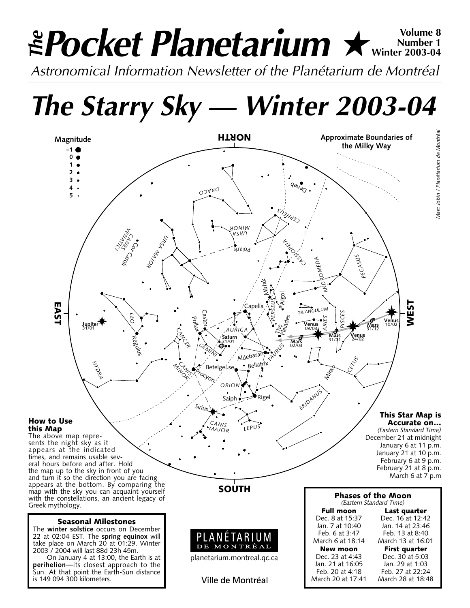# **Pocket Planetarium ★** Wolume 8 **Number 1 Winter 2003-04** *Astronomical Information Newsletter of the Planétarium de Montréal The*

*The Starry Sky — Winter 2003-04*